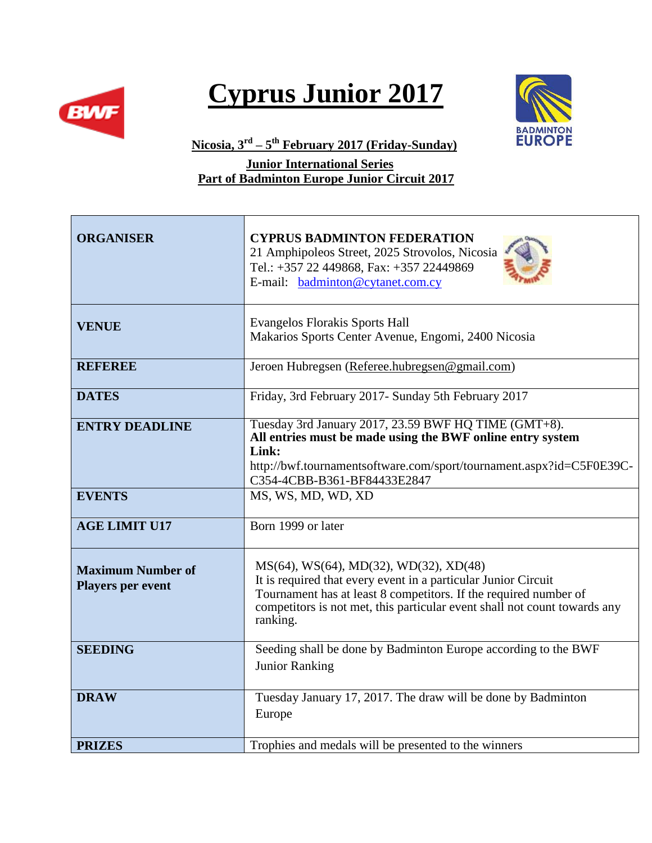

## **Cyprus Junior 2017**



**Nicosia, 3rd – 5 th February 2017 (Friday-Sunday)**

 **Junior International Series Part of Badminton Europe Junior Circuit 2017**

| <b>ORGANISER</b>                                     | <b>CYPRUS BADMINTON FEDERATION</b><br>21 Amphipoleos Street, 2025 Strovolos, Nicosia<br>Tel.: +357 22 449868, Fax: +357 22449869<br>E-mail: badminton@cytanet.com.cy                                                                                                  |
|------------------------------------------------------|-----------------------------------------------------------------------------------------------------------------------------------------------------------------------------------------------------------------------------------------------------------------------|
| <b>VENUE</b>                                         | <b>Evangelos Florakis Sports Hall</b><br>Makarios Sports Center Avenue, Engomi, 2400 Nicosia                                                                                                                                                                          |
| <b>REFEREE</b>                                       | Jeroen Hubregsen (Referee.hubregsen@gmail.com)                                                                                                                                                                                                                        |
| <b>DATES</b>                                         | Friday, 3rd February 2017- Sunday 5th February 2017                                                                                                                                                                                                                   |
| <b>ENTRY DEADLINE</b>                                | Tuesday 3rd January 2017, 23.59 BWF HQ TIME (GMT+8).<br>All entries must be made using the BWF online entry system<br>Link:<br>http://bwf.tournamentsoftware.com/sport/tournament.aspx?id=C5F0E39C-<br>C354-4CBB-B361-BF84433E2847                                    |
| <b>EVENTS</b>                                        | MS, WS, MD, WD, XD                                                                                                                                                                                                                                                    |
| <b>AGE LIMIT U17</b>                                 | Born 1999 or later                                                                                                                                                                                                                                                    |
| <b>Maximum Number of</b><br><b>Players per event</b> | MS(64), WS(64), MD(32), WD(32), XD(48)<br>It is required that every event in a particular Junior Circuit<br>Tournament has at least 8 competitors. If the required number of<br>competitors is not met, this particular event shall not count towards any<br>ranking. |
| <b>SEEDING</b>                                       | Seeding shall be done by Badminton Europe according to the BWF<br><b>Junior Ranking</b>                                                                                                                                                                               |
| <b>DRAW</b>                                          | Tuesday January 17, 2017. The draw will be done by Badminton<br>Europe                                                                                                                                                                                                |
| <b>PRIZES</b>                                        | Trophies and medals will be presented to the winners                                                                                                                                                                                                                  |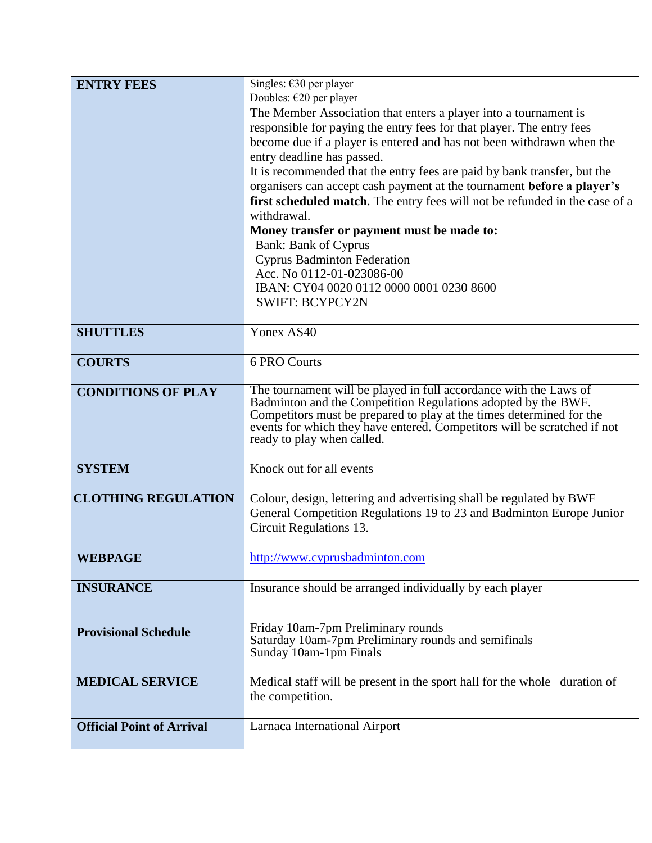| <b>ENTRY FEES</b>                | Singles: $\epsilon$ 30 per player                                                                                                  |
|----------------------------------|------------------------------------------------------------------------------------------------------------------------------------|
|                                  | Doubles: $\epsilon$ 20 per player                                                                                                  |
|                                  | The Member Association that enters a player into a tournament is                                                                   |
|                                  | responsible for paying the entry fees for that player. The entry fees                                                              |
|                                  | become due if a player is entered and has not been withdrawn when the                                                              |
|                                  | entry deadline has passed.                                                                                                         |
|                                  | It is recommended that the entry fees are paid by bank transfer, but the                                                           |
|                                  | organisers can accept cash payment at the tournament before a player's                                                             |
|                                  | first scheduled match. The entry fees will not be refunded in the case of a                                                        |
|                                  | withdrawal.                                                                                                                        |
|                                  | Money transfer or payment must be made to:                                                                                         |
|                                  | <b>Bank: Bank of Cyprus</b>                                                                                                        |
|                                  | <b>Cyprus Badminton Federation</b>                                                                                                 |
|                                  | Acc. No 0112-01-023086-00                                                                                                          |
|                                  | IBAN: CY04 0020 0112 0000 0001 0230 8600                                                                                           |
|                                  | <b>SWIFT: BCYPCY2N</b>                                                                                                             |
| <b>SHUTTLES</b>                  | Yonex AS40                                                                                                                         |
|                                  | <b>6 PRO Courts</b>                                                                                                                |
| <b>COURTS</b>                    |                                                                                                                                    |
| <b>CONDITIONS OF PLAY</b>        | The tournament will be played in full accordance with the Laws of<br>Badminton and the Competition Regulations adopted by the BWF. |
|                                  | Competitors must be prepared to play at the times determined for the                                                               |
|                                  | events for which they have entered. Competitors will be scratched if not                                                           |
|                                  | ready to play when called.                                                                                                         |
| <b>SYSTEM</b>                    | Knock out for all events                                                                                                           |
|                                  |                                                                                                                                    |
| <b>CLOTHING REGULATION</b>       | Colour, design, lettering and advertising shall be regulated by BWF                                                                |
|                                  | General Competition Regulations 19 to 23 and Badminton Europe Junior                                                               |
|                                  | Circuit Regulations 13.                                                                                                            |
| <b>WEBPAGE</b>                   | http://www.cyprusbadminton.com                                                                                                     |
|                                  |                                                                                                                                    |
| <b>INSURANCE</b>                 | Insurance should be arranged individually by each player                                                                           |
|                                  | Friday 10am-7pm Preliminary rounds                                                                                                 |
| <b>Provisional Schedule</b>      | Saturday 10am-7pm Preliminary rounds and semifinals                                                                                |
|                                  | Sunday 10am-1pm Finals                                                                                                             |
| <b>MEDICAL SERVICE</b>           | Medical staff will be present in the sport hall for the whole duration of                                                          |
|                                  | the competition.                                                                                                                   |
|                                  |                                                                                                                                    |
| <b>Official Point of Arrival</b> | Larnaca International Airport                                                                                                      |
|                                  |                                                                                                                                    |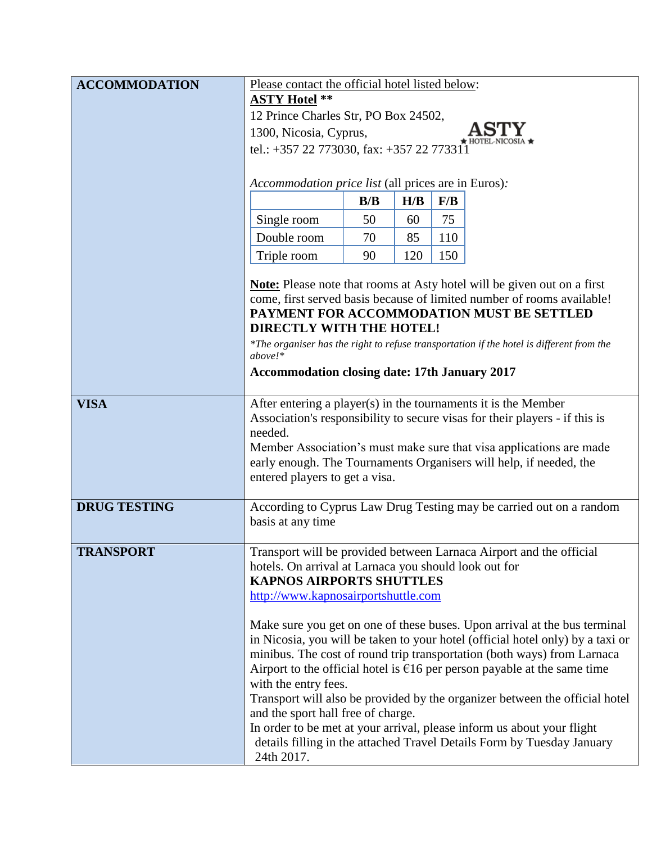| <b>ACCOMMODATION</b> | Please contact the official hotel listed below:                                                                                                             |     |     |     |                                                                                                                                           |  |
|----------------------|-------------------------------------------------------------------------------------------------------------------------------------------------------------|-----|-----|-----|-------------------------------------------------------------------------------------------------------------------------------------------|--|
|                      | <b>ASTY Hotel **</b>                                                                                                                                        |     |     |     |                                                                                                                                           |  |
|                      | 12 Prince Charles Str, PO Box 24502,                                                                                                                        |     |     |     |                                                                                                                                           |  |
|                      | 1300, Nicosia, Cyprus,                                                                                                                                      |     |     |     |                                                                                                                                           |  |
|                      | tel.: +357 22 773030, fax: +357 22 773311                                                                                                                   |     |     |     |                                                                                                                                           |  |
|                      |                                                                                                                                                             |     |     |     |                                                                                                                                           |  |
|                      | Accommodation price list (all prices are in Euros):                                                                                                         |     |     |     |                                                                                                                                           |  |
|                      |                                                                                                                                                             | B/B | H/B | F/B |                                                                                                                                           |  |
|                      | Single room                                                                                                                                                 | 50  | 60  | 75  |                                                                                                                                           |  |
|                      | Double room                                                                                                                                                 | 70  | 85  | 110 |                                                                                                                                           |  |
|                      | Triple room                                                                                                                                                 | 90  | 120 | 150 |                                                                                                                                           |  |
|                      |                                                                                                                                                             |     |     |     | Note: Please note that rooms at Asty hotel will be given out on a first                                                                   |  |
|                      | come, first served basis because of limited number of rooms available!                                                                                      |     |     |     |                                                                                                                                           |  |
|                      | PAYMENT FOR ACCOMMODATION MUST BE SETTLED                                                                                                                   |     |     |     |                                                                                                                                           |  |
|                      | DIRECTLY WITH THE HOTEL!                                                                                                                                    |     |     |     |                                                                                                                                           |  |
|                      | *The organiser has the right to refuse transportation if the hotel is different from the<br>above!                                                          |     |     |     |                                                                                                                                           |  |
|                      | <b>Accommodation closing date: 17th January 2017</b>                                                                                                        |     |     |     |                                                                                                                                           |  |
|                      |                                                                                                                                                             |     |     |     |                                                                                                                                           |  |
| <b>VISA</b>          | After entering a player(s) in the tournaments it is the Member                                                                                              |     |     |     |                                                                                                                                           |  |
|                      | Association's responsibility to secure visas for their players - if this is                                                                                 |     |     |     |                                                                                                                                           |  |
|                      | needed.                                                                                                                                                     |     |     |     |                                                                                                                                           |  |
|                      |                                                                                                                                                             |     |     |     | Member Association's must make sure that visa applications are made<br>early enough. The Tournaments Organisers will help, if needed, the |  |
|                      | entered players to get a visa.                                                                                                                              |     |     |     |                                                                                                                                           |  |
|                      |                                                                                                                                                             |     |     |     |                                                                                                                                           |  |
| <b>DRUG TESTING</b>  |                                                                                                                                                             |     |     |     | According to Cyprus Law Drug Testing may be carried out on a random                                                                       |  |
|                      | basis at any time                                                                                                                                           |     |     |     |                                                                                                                                           |  |
| <b>TRANSPORT</b>     |                                                                                                                                                             |     |     |     |                                                                                                                                           |  |
|                      | Transport will be provided between Larnaca Airport and the official<br>hotels. On arrival at Larnaca you should look out for                                |     |     |     |                                                                                                                                           |  |
|                      | <b>KAPNOS AIRPORTS SHUTTLES</b>                                                                                                                             |     |     |     |                                                                                                                                           |  |
|                      | http://www.kapnosairportshuttle.com                                                                                                                         |     |     |     |                                                                                                                                           |  |
|                      |                                                                                                                                                             |     |     |     |                                                                                                                                           |  |
|                      | Make sure you get on one of these buses. Upon arrival at the bus terminal<br>in Nicosia, you will be taken to your hotel (official hotel only) by a taxi or |     |     |     |                                                                                                                                           |  |
|                      |                                                                                                                                                             |     |     |     | minibus. The cost of round trip transportation (both ways) from Larnaca                                                                   |  |
|                      |                                                                                                                                                             |     |     |     | Airport to the official hotel is $E16$ per person payable at the same time                                                                |  |
|                      | with the entry fees.                                                                                                                                        |     |     |     |                                                                                                                                           |  |
|                      |                                                                                                                                                             |     |     |     | Transport will also be provided by the organizer between the official hotel                                                               |  |
|                      | and the sport hall free of charge.                                                                                                                          |     |     |     | In order to be met at your arrival, please inform us about your flight                                                                    |  |
|                      |                                                                                                                                                             |     |     |     | details filling in the attached Travel Details Form by Tuesday January                                                                    |  |
|                      | 24th 2017.                                                                                                                                                  |     |     |     |                                                                                                                                           |  |